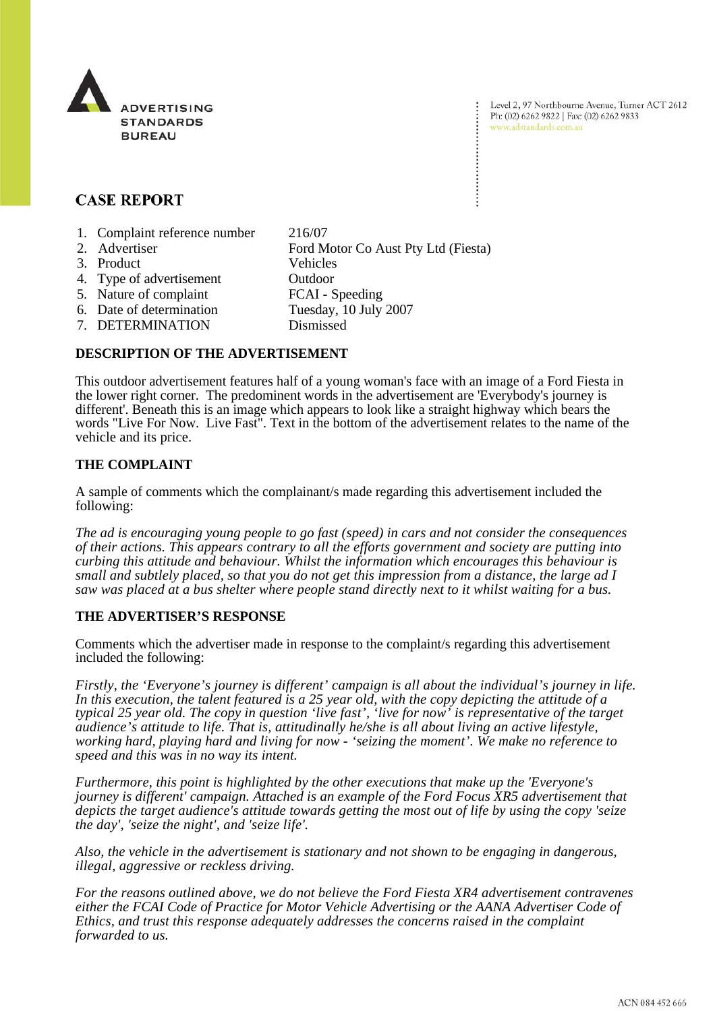

Level 2, 97 Northbourne Avenue, Turner ACT 2612 Ph: (02) 6262 9822 | Fax: (02) 6262 9833 www.adstandards.com.au

# **CASE REPORT**

- 1. Complaint reference number 216/07
- 2. Advertiser Ford Motor Co Aust Pty Ltd (Fiesta) 3. Product Vehicles 4. Type of advertisement Outdoor 5. Nature of complaint FCAI - Speeding 6. Date of determination Tuesday, 10 July 2007 7. DETERMINATION Dismissed

#### **DESCRIPTION OF THE ADVERTISEMENT**

This outdoor advertisement features half of a young woman's face with an image of a Ford Fiesta in the lower right corner. The predominent words in the advertisement are 'Everybody's journey is different'. Beneath this is an image which appears to look like a straight highway which bears the words "Live For Now. Live Fast". Text in the bottom of the advertisement relates to the name of the vehicle and its price.

#### **THE COMPLAINT**

A sample of comments which the complainant/s made regarding this advertisement included the following:

*The ad is encouraging young people to go fast (speed) in cars and not consider the consequences of their actions. This appears contrary to all the efforts government and society are putting into curbing this attitude and behaviour. Whilst the information which encourages this behaviour is small and subtlely placed, so that you do not get this impression from a distance, the large ad I saw was placed at a bus shelter where people stand directly next to it whilst waiting for a bus.*

## **THE ADVERTISER'S RESPONSE**

Comments which the advertiser made in response to the complaint/s regarding this advertisement included the following:

*Firstly, the 'Everyone's journey is different' campaign is all about the individual's journey in life. In this execution, the talent featured is a 25 year old, with the copy depicting the attitude of a typical 25 year old. The copy in question 'live fast', 'live for now' is representative of the target audience's attitude to life. That is, attitudinally he/she is all about living an active lifestyle, working hard, playing hard and living for now - 'seizing the moment'. We make no reference to speed and this was in no way its intent.* 

*Furthermore, this point is highlighted by the other executions that make up the 'Everyone's journey is different' campaign. Attached is an example of the Ford Focus XR5 advertisement that depicts the target audience's attitude towards getting the most out of life by using the copy 'seize the day', 'seize the night', and 'seize life'.* 

*Also, the vehicle in the advertisement is stationary and not shown to be engaging in dangerous, illegal, aggressive or reckless driving.*

*For the reasons outlined above, we do not believe the Ford Fiesta XR4 advertisement contravenes either the FCAI Code of Practice for Motor Vehicle Advertising or the AANA Advertiser Code of Ethics, and trust this response adequately addresses the concerns raised in the complaint forwarded to us.*